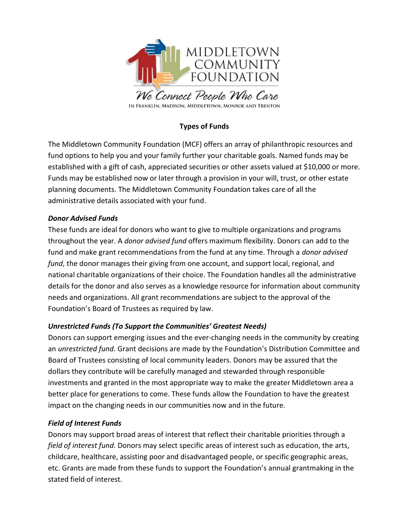

# Types of Funds

The Middletown Community Foundation (MCF) offers an array of philanthropic resources and fund options to help you and your family further your charitable goals. Named funds may be established with a gift of cash, appreciated securities or other assets valued at \$10,000 or more. Funds may be established now or later through a provision in your will, trust, or other estate planning documents. The Middletown Community Foundation takes care of all the administrative details associated with your fund.

#### Donor Advised Funds

These funds are ideal for donors who want to give to multiple organizations and programs throughout the year. A donor advised fund offers maximum flexibility. Donors can add to the fund and make grant recommendations from the fund at any time. Through a *donor advised* fund, the donor manages their giving from one account, and support local, regional, and national charitable organizations of their choice. The Foundation handles all the administrative details for the donor and also serves as a knowledge resource for information about community needs and organizations. All grant recommendations are subject to the approval of the Foundation's Board of Trustees as required by law.

## Unrestricted Funds (To Support the Communities' Greatest Needs)

Donors can support emerging issues and the ever-changing needs in the community by creating an unrestricted fund. Grant decisions are made by the Foundation's Distribution Committee and Board of Trustees consisting of local community leaders. Donors may be assured that the dollars they contribute will be carefully managed and stewarded through responsible investments and granted in the most appropriate way to make the greater Middletown area a better place for generations to come. These funds allow the Foundation to have the greatest impact on the changing needs in our communities now and in the future.

## Field of Interest Funds

Donors may support broad areas of interest that reflect their charitable priorities through a field of interest fund. Donors may select specific areas of interest such as education, the arts, childcare, healthcare, assisting poor and disadvantaged people, or specific geographic areas, etc. Grants are made from these funds to support the Foundation's annual grantmaking in the stated field of interest.